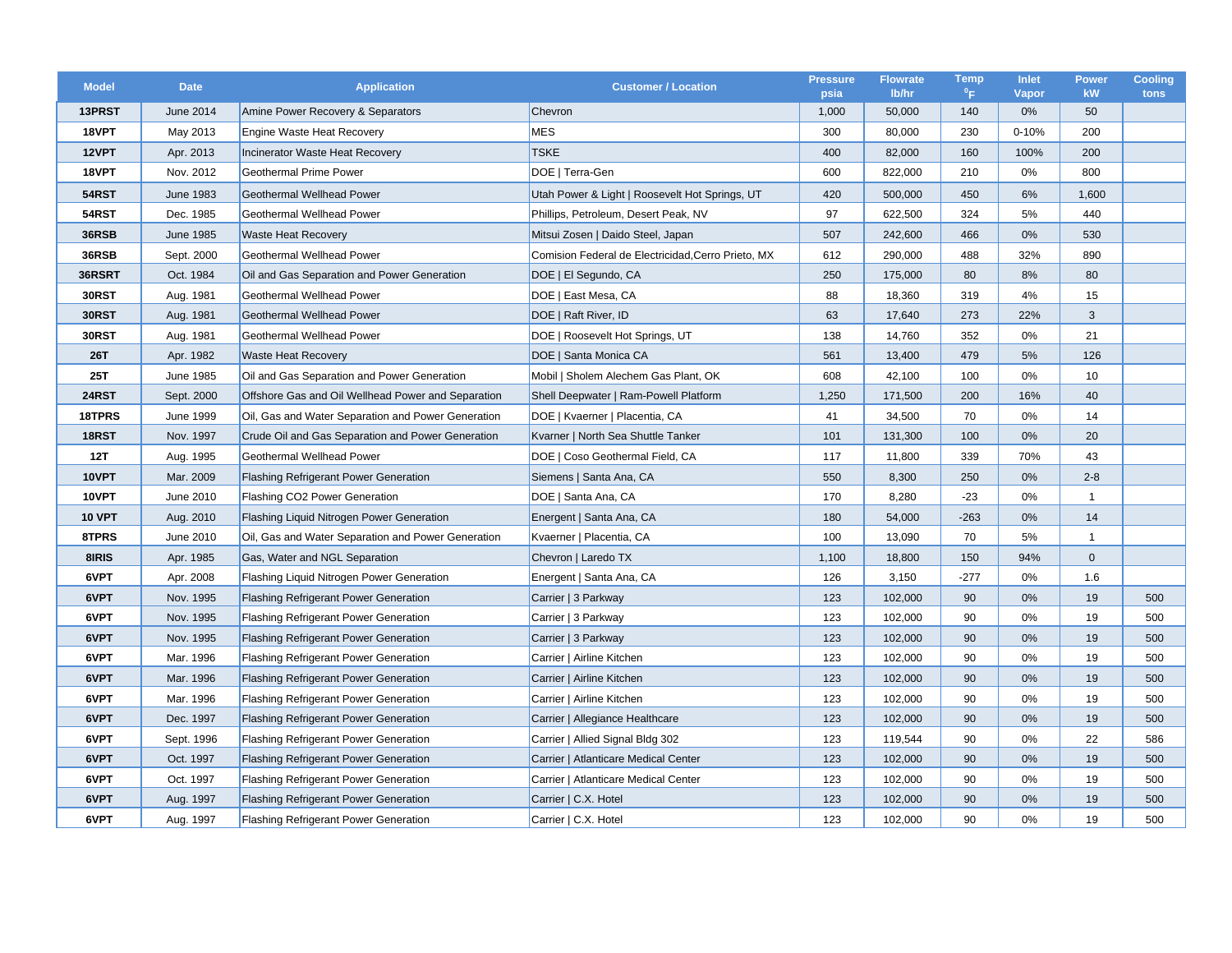| <b>Model</b>  | <b>Date</b>      | <b>Application</b>                                 | <b>Customer / Location</b>                         | <b>Pressure</b><br>psia | <b>Flowrate</b><br>lb/hr | <b>Temp</b><br>$^0$ F | Inlet<br>Vapor | <b>Power</b><br>kW | <b>Cooling</b><br>tons |
|---------------|------------------|----------------------------------------------------|----------------------------------------------------|-------------------------|--------------------------|-----------------------|----------------|--------------------|------------------------|
| 13PRST        | June 2014        | Amine Power Recovery & Separators                  | Chevron                                            | 1,000                   | 50,000                   | 140                   | 0%             | 50                 |                        |
| 18VPT         | May 2013         | Engine Waste Heat Recovery                         | <b>MES</b>                                         | 300                     | 80,000                   | 230                   | $0 - 10%$      | 200                |                        |
| 12VPT         | Apr. 2013        | <b>Incinerator Waste Heat Recovery</b>             | <b>TSKE</b>                                        | 400                     | 82,000                   | 160                   | 100%           | 200                |                        |
| 18VPT         | Nov. 2012        | Geothermal Prime Power                             | DOE   Terra-Gen                                    | 600                     | 822,000                  | 210                   | 0%             | 800                |                        |
| 54RST         | <b>June 1983</b> | Geothermal Wellhead Power                          | Utah Power & Light   Roosevelt Hot Springs, UT     | 420                     | 500,000                  | 450                   | 6%             | 1,600              |                        |
| 54RST         | Dec. 1985        | Geothermal Wellhead Power                          | Phillips, Petroleum, Desert Peak, NV               | 97                      | 622,500                  | 324                   | 5%             | 440                |                        |
| 36RSB         | June 1985        | <b>Waste Heat Recovery</b>                         | Mitsui Zosen   Daido Steel, Japan                  | 507                     | 242,600                  | 466                   | 0%             | 530                |                        |
| 36RSB         | Sept. 2000       | Geothermal Wellhead Power                          | Comision Federal de Electricidad, Cerro Prieto, MX | 612                     | 290,000                  | 488                   | 32%            | 890                |                        |
| 36RSRT        | Oct. 1984        | Oil and Gas Separation and Power Generation        | DOE   El Segundo, CA                               | 250                     | 175,000                  | 80                    | 8%             | 80                 |                        |
| 30RST         | Aug. 1981        | Geothermal Wellhead Power                          | DOE   East Mesa, CA                                | 88                      | 18,360                   | 319                   | 4%             | 15                 |                        |
| 30RST         | Aug. 1981        | Geothermal Wellhead Power                          | DOE   Raft River, ID                               | 63                      | 17,640                   | 273                   | 22%            | 3                  |                        |
| 30RST         | Aug. 1981        | Geothermal Wellhead Power                          | DOE   Roosevelt Hot Springs, UT                    | 138                     | 14,760                   | 352                   | 0%             | 21                 |                        |
| 26T           | Apr. 1982        | <b>Waste Heat Recovery</b>                         | DOE   Santa Monica CA                              | 561                     | 13,400                   | 479                   | 5%             | 126                |                        |
| 25T           | June 1985        | Oil and Gas Separation and Power Generation        | Mobil   Sholem Alechem Gas Plant, OK               | 608                     | 42,100                   | 100                   | 0%             | 10                 |                        |
| 24RST         | Sept. 2000       | Offshore Gas and Oil Wellhead Power and Separation | Shell Deepwater   Ram-Powell Platform              | 1,250                   | 171,500                  | 200                   | 16%            | 40                 |                        |
| 18TPRS        | June 1999        | Oil, Gas and Water Separation and Power Generation | DOE   Kvaerner   Placentia, CA                     | 41                      | 34,500                   | 70                    | 0%             | 14                 |                        |
| 18RST         | Nov. 1997        | Crude Oil and Gas Separation and Power Generation  | Kvarner   North Sea Shuttle Tanker                 | 101                     | 131,300                  | 100                   | 0%             | 20                 |                        |
| 12T           | Aug. 1995        | Geothermal Wellhead Power                          | DOE   Coso Geothermal Field, CA                    | 117                     | 11,800                   | 339                   | 70%            | 43                 |                        |
| 10VPT         | Mar. 2009        | <b>Flashing Refrigerant Power Generation</b>       | Siemens   Santa Ana, CA                            | 550                     | 8,300                    | 250                   | 0%             | $2 - 8$            |                        |
| 10VPT         | June 2010        | Flashing CO2 Power Generation                      | DOE   Santa Ana, CA                                | 170                     | 8,280                    | $-23$                 | 0%             | $\mathbf{1}$       |                        |
| <b>10 VPT</b> | Aug. 2010        | Flashing Liquid Nitrogen Power Generation          | Energent   Santa Ana, CA                           | 180                     | 54,000                   | $-263$                | 0%             | 14                 |                        |
| 8TPRS         | June 2010        | Oil, Gas and Water Separation and Power Generation | Kvaerner   Placentia, CA                           | 100                     | 13,090                   | 70                    | 5%             | $\mathbf{1}$       |                        |
| 8IRIS         | Apr. 1985        | Gas, Water and NGL Separation                      | Chevron   Laredo TX                                | 1,100                   | 18,800                   | 150                   | 94%            | $\mathbf 0$        |                        |
| 6VPT          | Apr. 2008        | Flashing Liquid Nitrogen Power Generation          | Energent   Santa Ana, CA                           | 126                     | 3,150                    | $-277$                | 0%             | 1.6                |                        |
| 6VPT          | Nov. 1995        | <b>Flashing Refrigerant Power Generation</b>       | Carrier   3 Parkway                                | 123                     | 102,000                  | 90                    | 0%             | 19                 | 500                    |
| 6VPT          | Nov. 1995        | <b>Flashing Refrigerant Power Generation</b>       | Carrier   3 Parkway                                | 123                     | 102,000                  | 90                    | 0%             | 19                 | 500                    |
| 6VPT          | Nov. 1995        | Flashing Refrigerant Power Generation              | Carrier   3 Parkway                                | 123                     | 102,000                  | 90                    | 0%             | 19                 | 500                    |
| 6VPT          | Mar. 1996        | <b>Flashing Refrigerant Power Generation</b>       | Carrier   Airline Kitchen                          | 123                     | 102,000                  | 90                    | 0%             | 19                 | 500                    |
| 6VPT          | Mar. 1996        | <b>Flashing Refrigerant Power Generation</b>       | Carrier   Airline Kitchen                          | 123                     | 102,000                  | 90                    | 0%             | 19                 | 500                    |
| 6VPT          | Mar. 1996        | Flashing Refrigerant Power Generation              | Carrier   Airline Kitchen                          | 123                     | 102,000                  | 90                    | $0\%$          | 19                 | 500                    |
| 6VPT          | Dec. 1997        | <b>Flashing Refrigerant Power Generation</b>       | Carrier   Allegiance Healthcare                    | 123                     | 102,000                  | 90                    | 0%             | 19                 | 500                    |
| 6VPT          | Sept. 1996       | Flashing Refrigerant Power Generation              | Carrier   Allied Signal Bldg 302                   | 123                     | 119,544                  | 90                    | $0\%$          | 22                 | 586                    |
| 6VPT          | Oct. 1997        | Flashing Refrigerant Power Generation              | Carrier   Atlanticare Medical Center               | 123                     | 102,000                  | 90                    | 0%             | 19                 | 500                    |
| 6VPT          | Oct. 1997        | <b>Flashing Refrigerant Power Generation</b>       | Carrier   Atlanticare Medical Center               | 123                     | 102,000                  | 90                    | 0%             | 19                 | 500                    |
| 6VPT          | Aug. 1997        | <b>Flashing Refrigerant Power Generation</b>       | Carrier   C.X. Hotel                               | 123                     | 102,000                  | 90                    | 0%             | 19                 | 500                    |
| 6VPT          | Aug. 1997        | <b>Flashing Refrigerant Power Generation</b>       | Carrier   C.X. Hotel                               | 123                     | 102,000                  | 90                    | 0%             | 19                 | 500                    |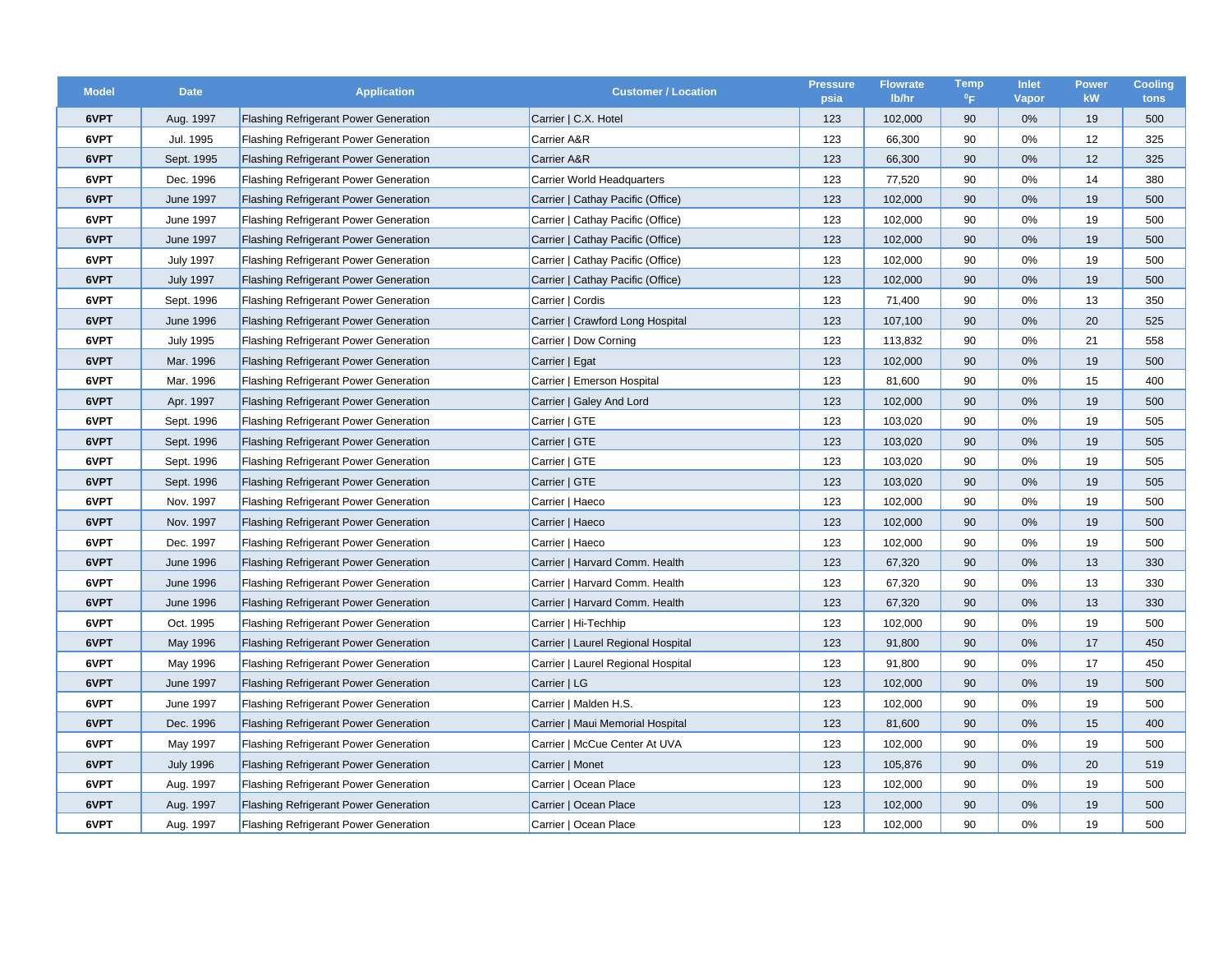| <b>Model</b> | <b>Date</b>      | <b>Application</b>                           | <b>Customer / Location</b>         | <b>Pressure</b><br>psia | <b>Flowrate</b><br>lb/hr | <b>Temp</b><br>$^{\circ}$ F | <b>Inlet</b><br>Vapor | <b>Power</b><br>kW | <b>Cooling</b><br>tons |
|--------------|------------------|----------------------------------------------|------------------------------------|-------------------------|--------------------------|-----------------------------|-----------------------|--------------------|------------------------|
| 6VPT         | Aug. 1997        | <b>Flashing Refrigerant Power Generation</b> | Carrier   C.X. Hotel               | 123                     | 102,000                  | 90                          | 0%                    | 19                 | 500                    |
| 6VPT         | Jul. 1995        | <b>Flashing Refrigerant Power Generation</b> | Carrier A&R                        | 123                     | 66,300                   | 90                          | 0%                    | 12                 | 325                    |
| 6VPT         | Sept. 1995       | <b>Flashing Refrigerant Power Generation</b> | Carrier A&R                        | 123                     | 66,300                   | 90                          | 0%                    | 12                 | 325                    |
| 6VPT         | Dec. 1996        | <b>Flashing Refrigerant Power Generation</b> | Carrier World Headquarters         | 123                     | 77,520                   | 90                          | 0%                    | 14                 | 380                    |
| 6VPT         | <b>June 1997</b> | Flashing Refrigerant Power Generation        | Carrier   Cathay Pacific (Office)  | 123                     | 102,000                  | 90                          | 0%                    | 19                 | 500                    |
| 6VPT         | June 1997        | <b>Flashing Refrigerant Power Generation</b> | Carrier   Cathay Pacific (Office)  | 123                     | 102,000                  | 90                          | 0%                    | 19                 | 500                    |
| 6VPT         | <b>June 1997</b> | <b>Flashing Refrigerant Power Generation</b> | Carrier   Cathay Pacific (Office)  | 123                     | 102,000                  | 90                          | 0%                    | 19                 | 500                    |
| 6VPT         | <b>July 1997</b> | <b>Flashing Refrigerant Power Generation</b> | Carrier   Cathay Pacific (Office)  | 123                     | 102,000                  | 90                          | 0%                    | 19                 | 500                    |
| 6VPT         | <b>July 1997</b> | Flashing Refrigerant Power Generation        | Carrier   Cathay Pacific (Office)  | 123                     | 102,000                  | 90                          | 0%                    | 19                 | 500                    |
| 6VPT         | Sept. 1996       | <b>Flashing Refrigerant Power Generation</b> | Carrier   Cordis                   | 123                     | 71,400                   | 90                          | 0%                    | 13                 | 350                    |
| 6VPT         | <b>June 1996</b> | Flashing Refrigerant Power Generation        | Carrier   Crawford Long Hospital   | 123                     | 107,100                  | 90                          | 0%                    | 20                 | 525                    |
| 6VPT         | <b>July 1995</b> | <b>Flashing Refrigerant Power Generation</b> | Carrier   Dow Corning              | 123                     | 113,832                  | 90                          | 0%                    | 21                 | 558                    |
| 6VPT         | Mar. 1996        | <b>Flashing Refrigerant Power Generation</b> | Carrier   Egat                     | 123                     | 102,000                  | 90                          | 0%                    | 19                 | 500                    |
| 6VPT         | Mar. 1996        | <b>Flashing Refrigerant Power Generation</b> | Carrier   Emerson Hospital         | 123                     | 81,600                   | 90                          | 0%                    | 15                 | 400                    |
| 6VPT         | Apr. 1997        | Flashing Refrigerant Power Generation        | Carrier   Galey And Lord           | 123                     | 102,000                  | 90                          | 0%                    | 19                 | 500                    |
| 6VPT         | Sept. 1996       | <b>Flashing Refrigerant Power Generation</b> | Carrier   GTE                      | 123                     | 103,020                  | 90                          | 0%                    | 19                 | 505                    |
| 6VPT         | Sept. 1996       | <b>Flashing Refrigerant Power Generation</b> | Carrier   GTE                      | 123                     | 103,020                  | 90                          | 0%                    | 19                 | 505                    |
| 6VPT         | Sept. 1996       | Flashing Refrigerant Power Generation        | Carrier   GTE                      | 123                     | 103,020                  | 90                          | 0%                    | 19                 | 505                    |
| 6VPT         | Sept. 1996       | <b>Flashing Refrigerant Power Generation</b> | Carrier   GTE                      | 123                     | 103,020                  | 90                          | 0%                    | 19                 | 505                    |
| 6VPT         | Nov. 1997        | <b>Flashing Refrigerant Power Generation</b> | Carrier   Haeco                    | 123                     | 102,000                  | 90                          | 0%                    | 19                 | 500                    |
| 6VPT         | Nov. 1997        | Flashing Refrigerant Power Generation        | Carrier   Haeco                    | 123                     | 102,000                  | 90                          | 0%                    | 19                 | 500                    |
| 6VPT         | Dec. 1997        | <b>Flashing Refrigerant Power Generation</b> | Carrier   Haeco                    | 123                     | 102,000                  | 90                          | 0%                    | 19                 | 500                    |
| 6VPT         | <b>June 1996</b> | <b>Flashing Refrigerant Power Generation</b> | Carrier   Harvard Comm. Health     | 123                     | 67,320                   | 90                          | 0%                    | 13                 | 330                    |
| 6VPT         | <b>June 1996</b> | Flashing Refrigerant Power Generation        | Carrier   Harvard Comm. Health     | 123                     | 67,320                   | 90                          | 0%                    | 13                 | 330                    |
| 6VPT         | <b>June 1996</b> | Flashing Refrigerant Power Generation        | Carrier   Harvard Comm. Health     | 123                     | 67,320                   | 90                          | 0%                    | 13                 | 330                    |
| 6VPT         | Oct. 1995        | <b>Flashing Refrigerant Power Generation</b> | Carrier   Hi-Techhip               | 123                     | 102,000                  | 90                          | 0%                    | 19                 | 500                    |
| 6VPT         | May 1996         | Flashing Refrigerant Power Generation        | Carrier   Laurel Regional Hospital | 123                     | 91,800                   | 90                          | 0%                    | 17                 | 450                    |
| 6VPT         | May 1996         | Flashing Refrigerant Power Generation        | Carrier   Laurel Regional Hospital | 123                     | 91,800                   | 90                          | 0%                    | 17                 | 450                    |
| 6VPT         | <b>June 1997</b> | <b>Flashing Refrigerant Power Generation</b> | Carrier   LG                       | 123                     | 102,000                  | 90                          | 0%                    | 19                 | 500                    |
| 6VPT         | June 1997        | <b>Flashing Refrigerant Power Generation</b> | Carrier   Malden H.S.              | 123                     | 102,000                  | 90                          | 0%                    | 19                 | 500                    |
| 6VPT         | Dec. 1996        | Flashing Refrigerant Power Generation        | Carrier   Maui Memorial Hospital   | 123                     | 81,600                   | 90                          | 0%                    | 15                 | 400                    |
| 6VPT         | May 1997         | Flashing Refrigerant Power Generation        | Carrier   McCue Center At UVA      | 123                     | 102,000                  | 90                          | 0%                    | 19                 | 500                    |
| 6VPT         | <b>July 1996</b> | Flashing Refrigerant Power Generation        | Carrier   Monet                    | 123                     | 105,876                  | 90                          | 0%                    | 20                 | 519                    |
| 6VPT         | Aug. 1997        | Flashing Refrigerant Power Generation        | Carrier   Ocean Place              | 123                     | 102,000                  | 90                          | 0%                    | 19                 | 500                    |
| 6VPT         | Aug. 1997        | Flashing Refrigerant Power Generation        | Carrier   Ocean Place              | 123                     | 102,000                  | 90                          | 0%                    | 19                 | 500                    |
| 6VPT         | Aug. 1997        | <b>Flashing Refrigerant Power Generation</b> | Carrier   Ocean Place              | 123                     | 102,000                  | 90                          | 0%                    | 19                 | 500                    |